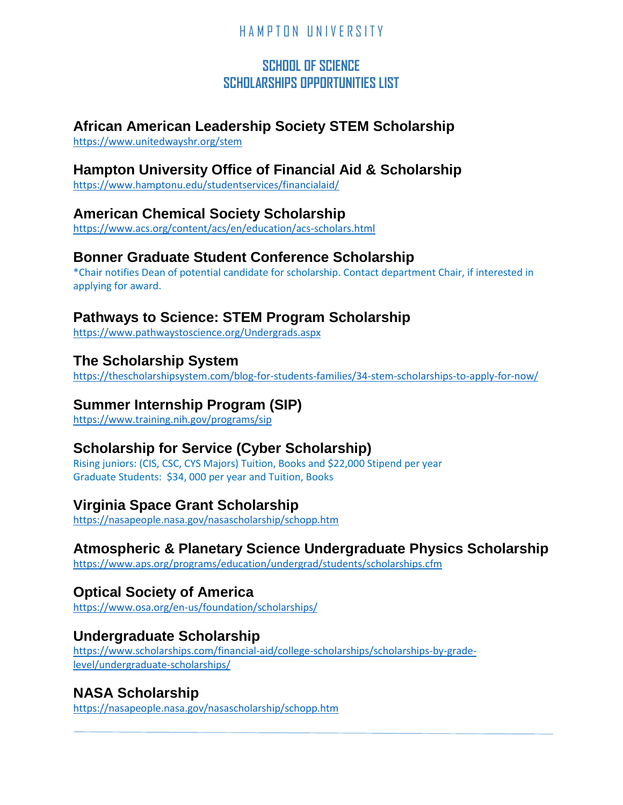## **SCHOOL OF SCIENCE SCHOLARSHIPS OPPORTUNITIES LIST**

## **African American Leadership Society STEM Scholarship**

<https://www.unitedwayshr.org/stem>

## **Hampton University Office of Financial Aid & Scholarship**

<https://www.hamptonu.edu/studentservices/financialaid/>

## **American Chemical Society Scholarship**

<https://www.acs.org/content/acs/en/education/acs-scholars.html>

### **Bonner Graduate Student Conference Scholarship**

\*Chair notifies Dean of potential candidate for scholarship. Contact department Chair, if interested in applying for award.

## **Pathways to Science: STEM Program Scholarship**

<https://www.pathwaystoscience.org/Undergrads.aspx>

## **The Scholarship System**

<https://thescholarshipsystem.com/blog-for-students-families/34-stem-scholarships-to-apply-for-now/>

### **Summer Internship Program (SIP)**

<https://www.training.nih.gov/programs/sip>

# **Scholarship for Service (Cyber Scholarship)**

Rising juniors: (CIS, CSC, CYS Majors) Tuition, Books and \$22,000 Stipend per year Graduate Students: \$34, 000 per year and Tuition, Books

### **Virginia Space Grant Scholarship**

<https://nasapeople.nasa.gov/nasascholarship/schopp.htm>

# **Atmospheric & Planetary Science Undergraduate Physics Scholarship**

<https://www.aps.org/programs/education/undergrad/students/scholarships.cfm>

# **Optical Society of America**

<https://www.osa.org/en-us/foundation/scholarships/>

### **Undergraduate Scholarship**

[https://www.scholarships.com/financial-aid/college-scholarships/scholarships-by-grade](https://www.scholarships.com/financial-aid/college-scholarships/scholarships-by-grade-level/undergraduate-scholarships/)[level/undergraduate-scholarships/](https://www.scholarships.com/financial-aid/college-scholarships/scholarships-by-grade-level/undergraduate-scholarships/)

## **NASA Scholarship**

<https://nasapeople.nasa.gov/nasascholarship/schopp.htm>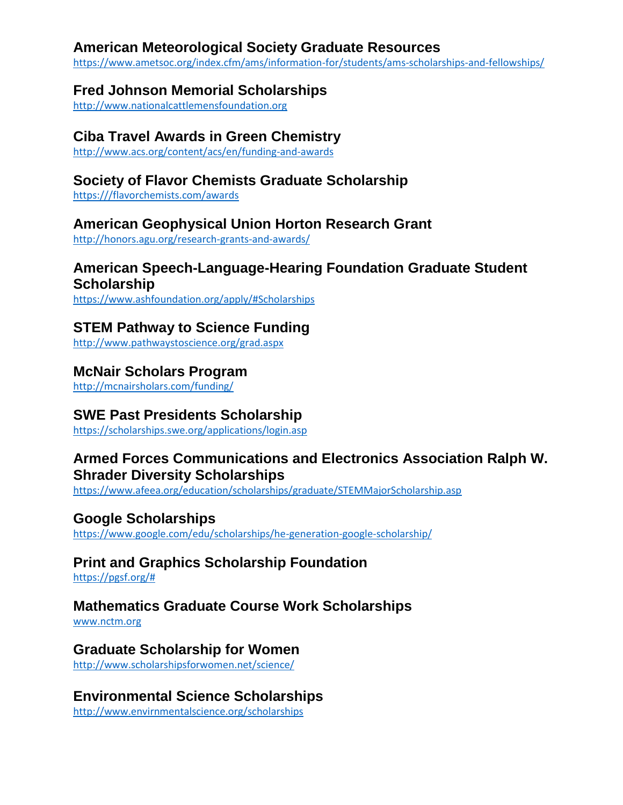#### **American Meteorological Society Graduate Resources**

<https://www.ametsoc.org/index.cfm/ams/information-for/students/ams-scholarships-and-fellowships/>

### **Fred Johnson Memorial Scholarships**

[http://www.nationalcattlemensfoundation.org](http://www.nationalcattlemensfoundation.org/) 

### **Ciba Travel Awards in Green Chemistry**

<http://www.acs.org/content/acs/en/funding-and-awards>

## **Society of Flavor Chemists Graduate Scholarship**

[https:///flavorchemists.com/awards](https://flavorchemists.com/awards)

## **American Geophysical Union Horton Research Grant**

<http://honors.agu.org/research-grants-and-awards/>

#### **American Speech-Language-Hearing Foundation Graduate Student Scholarship**

<https://www.ashfoundation.org/apply/#Scholarships>

## **STEM Pathway to Science Funding**

<http://www.pathwaystoscience.org/grad.aspx>

#### **McNair Scholars Program**

<http://mcnairsholars.com/funding/>

## **SWE Past Presidents Scholarship**

<https://scholarships.swe.org/applications/login.asp>

## **Armed Forces Communications and Electronics Association Ralph W. Shrader Diversity Scholarships**

<https://www.afeea.org/education/scholarships/graduate/STEMMajorScholarship.asp>

### **Google Scholarships**

<https://www.google.com/edu/scholarships/he-generation-google-scholarship/>

### **Print and Graphics Scholarship Foundation**

[https://pgsf.org/#](https://pgsf.org/)

### **Mathematics Graduate Course Work Scholarships**

[www.nctm.org](http://www.nctm.org/)

### **Graduate Scholarship for Women**

<http://www.scholarshipsforwomen.net/science/>

### **Environmental Science Scholarships**

<http://www.envirnmentalscience.org/scholarships>